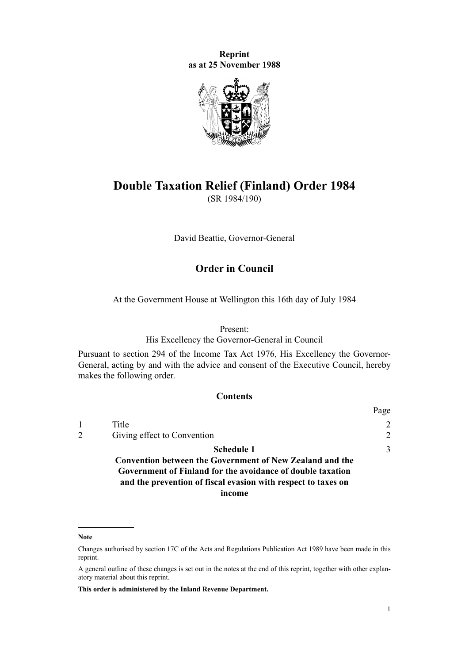**Reprint as at 25 November 1988**



# **Double Taxation Relief (Finland) Order 1984** (SR 1984/190)

David Beattie, Governor-General

## **Order in Council**

At the Government House at Wellington this 16th day of July 1984

Present:

His Excellency the Governor-General in Council

Pursuant to section 294 of the Income Tax Act 1976, His Excellency the Governor-General, acting by and with the advice and consent of the Executive Council, hereby makes the following order.

#### **Contents**

|   |                                                                 | Page                        |
|---|-----------------------------------------------------------------|-----------------------------|
| 1 | Title                                                           | $\overline{2}$              |
|   | Giving effect to Convention                                     | $\mathcal{D}_{\mathcal{A}}$ |
|   | <b>Schedule 1</b>                                               | 3                           |
|   | <b>Convention between the Government of New Zealand and the</b> |                             |
|   | Government of Finland for the avoidance of double taxation      |                             |
|   | and the prevention of fiscal evasion with respect to taxes on   |                             |
|   | income                                                          |                             |

#### **Note**

**This order is administered by the Inland Revenue Department.**

Changes authorised by [section 17C](http://prd-lgnz-nlb.prd.pco.net.nz/pdflink.aspx?id=DLM195466) of the Acts and Regulations Publication Act 1989 have been made in this reprint.

A general outline of these changes is set out in the notes at the end of this reprint, together with other explanatory material about this reprint.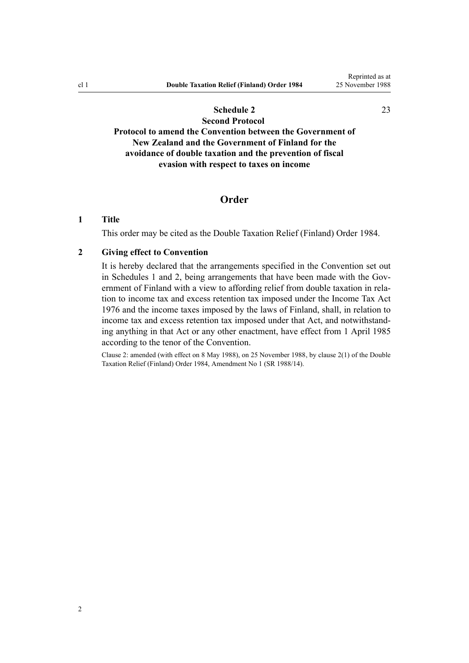[23](#page-22-0)

#### **[Schedule 2](#page-22-0) [Second Protocol](#page-22-0)**

<span id="page-1-0"></span>**[Protocol to amend the Convention between the Government of](#page-22-0) [New Zealand and the Government of Finland for the](#page-22-0) [avoidance of double taxation and the prevention of fiscal](#page-22-0) [evasion with respect to taxes on income](#page-22-0)**

## **Order**

### **1 Title**

This order may be cited as the Double Taxation Relief (Finland) Order 1984.

#### **2 Giving effect to Convention**

It is hereby declared that the arrangements specified in the Convention set out in [Schedules 1](#page-2-0) and [2,](#page-22-0) being arrangements that have been made with the Government of Finland with a view to affording relief from double taxation in relation to income tax and excess retention tax imposed under the Income Tax Act 1976 and the income taxes imposed by the laws of Finland, shall, in relation to income tax and excess retention tax imposed under that Act, and notwithstanding anything in that Act or any other enactment, have effect from 1 April 1985 according to the tenor of the Convention.

Clause 2: amended (with effect on 8 May 1988), on 25 November 1988, by clause 2(1) of the Double Taxation Relief (Finland) Order 1984, Amendment No 1 (SR 1988/14).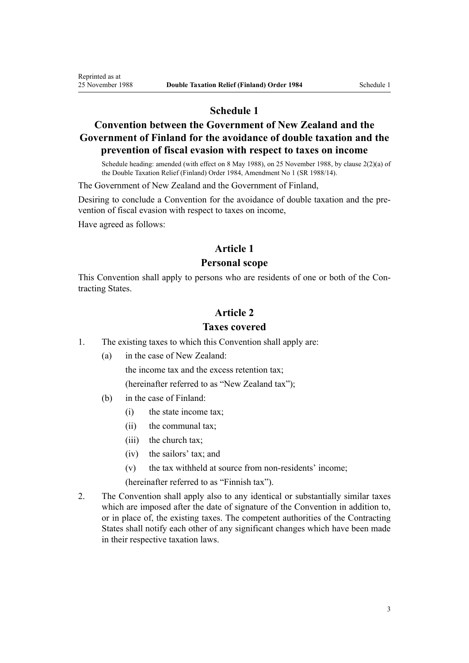## **Schedule 1**

# <span id="page-2-0"></span>**Convention between the Government of New Zealand and the Government of Finland for the avoidance of double taxation and the prevention of fiscal evasion with respect to taxes on income**

Schedule heading: amended (with effect on 8 May 1988), on 25 November 1988, by clause 2(2)(a) of the Double Taxation Relief (Finland) Order 1984, Amendment No 1 (SR 1988/14).

The Government of New Zealand and the Government of Finland,

Desiring to conclude a Convention for the avoidance of double taxation and the prevention of fiscal evasion with respect to taxes on income,

Have agreed as follows:

#### **Article 1**

## **Personal scope**

This Convention shall apply to persons who are residents of one or both of the Contracting States.

## **Article 2**

#### **Taxes covered**

- 1. The existing taxes to which this Convention shall apply are:
	- (a) in the case of New Zealand:

the income tax and the excess retention tax;

(hereinafter referred to as "New Zealand tax");

- (b) in the case of Finland:
	- (i) the state income tax;
	- (ii) the communal tax;
	- (iii) the church tax;
	- (iv) the sailors' tax; and
	- (v) the tax withheld at source from non-residents' income;
	- (hereinafter referred to as "Finnish tax").
- 2. The Convention shall apply also to any identical or substantially similar taxes which are imposed after the date of signature of the Convention in addition to, or in place of, the existing taxes. The competent authorities of the Contracting States shall notify each other of any significant changes which have been made in their respective taxation laws.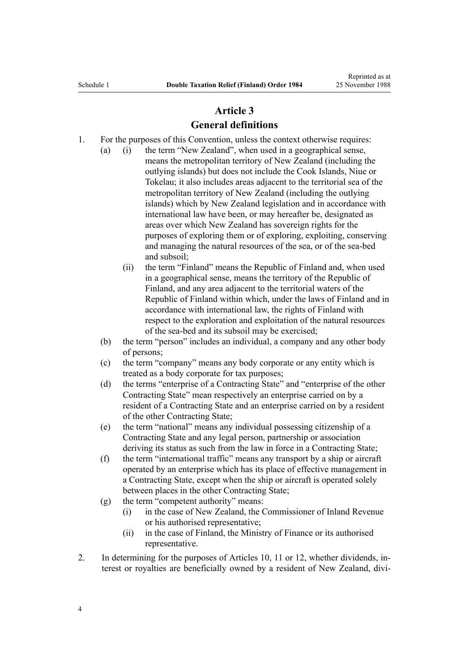## **Article 3 General definitions**

1. For the purposes of this Convention, unless the context otherwise requires:

- (a) (i) the term "New Zealand", when used in a geographical sense, means the metropolitan territory of New Zealand (including the outlying islands) but does not include the Cook Islands, Niue or Tokelau; it also includes areas adjacent to the territorial sea of the metropolitan territory of New Zealand (including the outlying islands) which by New Zealand legislation and in accordance with international law have been, or may hereafter be, designated as areas over which New Zealand has sovereign rights for the purposes of exploring them or of exploring, exploiting, conserving and managing the natural resources of the sea, or of the sea-bed and subsoil;
	- (ii) the term "Finland" means the Republic of Finland and, when used in a geographical sense, means the territory of the Republic of Finland, and any area adjacent to the territorial waters of the Republic of Finland within which, under the laws of Finland and in accordance with international law, the rights of Finland with respect to the exploration and exploitation of the natural resources of the sea-bed and its subsoil may be exercised;
- (b) the term "person" includes an individual, a company and any other body of persons;
- (c) the term "company" means any body corporate or any entity which is treated as a body corporate for tax purposes;
- (d) the terms "enterprise of a Contracting State" and "enterprise of the other Contracting State" mean respectively an enterprise carried on by a resident of a Contracting State and an enterprise carried on by a resident of the other Contracting State;
- (e) the term "national" means any individual possessing citizenship of a Contracting State and any legal person, partnership or association deriving its status as such from the law in force in a Contracting State;
- (f) the term "international traffic" means any transport by a ship or aircraft operated by an enterprise which has its place of effective management in a Contracting State, except when the ship or aircraft is operated solely between places in the other Contracting State;
- (g) the term "competent authority" means:
	- (i) in the case of New Zealand, the Commissioner of Inland Revenue or his authorised representative;
	- (ii) in the case of Finland, the Ministry of Finance or its authorised representative.
- 2. In determining for the purposes of Articles 10, 11 or 12, whether dividends, interest or royalties are beneficially owned by a resident of New Zealand, divi-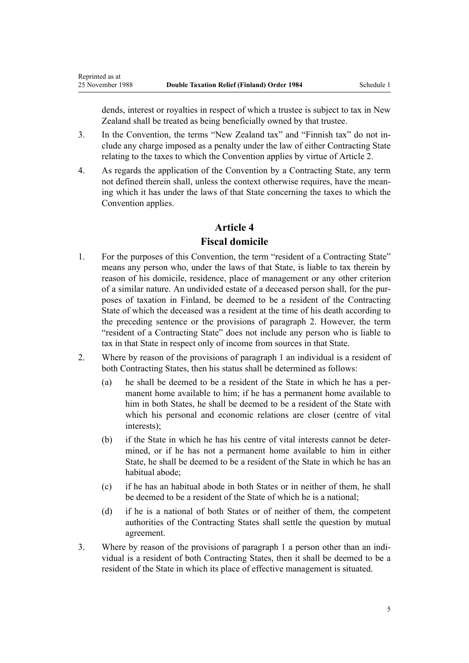Reprinted as at

dends, interest or royalties in respect of which a trustee is subject to tax in New Zealand shall be treated as being beneficially owned by that trustee.

- 3. In the Convention, the terms "New Zealand tax" and "Finnish tax" do not include any charge imposed as a penalty under the law of either Contracting State relating to the taxes to which the Convention applies by virtue of Article 2.
- 4. As regards the application of the Convention by a Contracting State, any term not defined therein shall, unless the context otherwise requires, have the meaning which it has under the laws of that State concerning the taxes to which the Convention applies.

#### **Article 4**

#### **Fiscal domicile**

- 1. For the purposes of this Convention, the term "resident of a Contracting State" means any person who, under the laws of that State, is liable to tax therein by reason of his domicile, residence, place of management or any other criterion of a similar nature. An undivided estate of a deceased person shall, for the purposes of taxation in Finland, be deemed to be a resident of the Contracting State of which the deceased was a resident at the time of his death according to the preceding sentence or the provisions of paragraph 2. However, the term "resident of a Contracting State" does not include any person who is liable to tax in that State in respect only of income from sources in that State.
- 2. Where by reason of the provisions of paragraph 1 an individual is a resident of both Contracting States, then his status shall be determined as follows:
	- (a) he shall be deemed to be a resident of the State in which he has a permanent home available to him; if he has a permanent home available to him in both States, he shall be deemed to be a resident of the State with which his personal and economic relations are closer (centre of vital interests);
	- (b) if the State in which he has his centre of vital interests cannot be determined, or if he has not a permanent home available to him in either State, he shall be deemed to be a resident of the State in which he has an habitual abode;
	- (c) if he has an habitual abode in both States or in neither of them, he shall be deemed to be a resident of the State of which he is a national;
	- (d) if he is a national of both States or of neither of them, the competent authorities of the Contracting States shall settle the question by mutual agreement.
- 3. Where by reason of the provisions of paragraph 1 a person other than an individual is a resident of both Contracting States, then it shall be deemed to be a resident of the State in which its place of effective management is situated.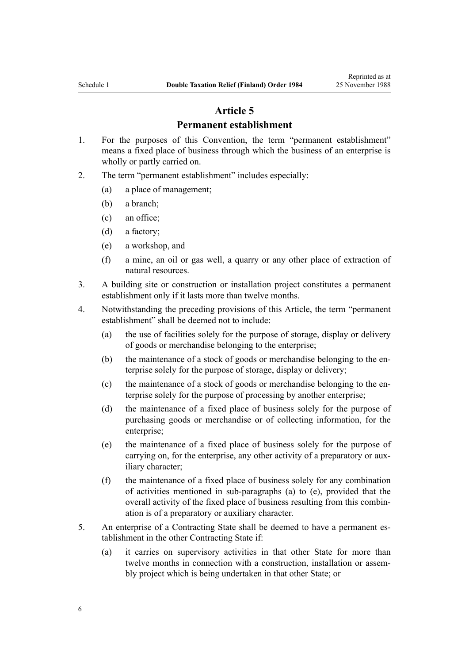### **Permanent establishment**

- 1. For the purposes of this Convention, the term "permanent establishment" means a fixed place of business through which the business of an enterprise is wholly or partly carried on.
- 2. The term "permanent establishment" includes especially:
	- (a) a place of management;
	- (b) a branch;
	- (c) an office;
	- (d) a factory;
	- (e) a workshop, and
	- (f) a mine, an oil or gas well, a quarry or any other place of extraction of natural resources.
- 3. A building site or construction or installation project constitutes a permanent establishment only if it lasts more than twelve months.
- 4. Notwithstanding the preceding provisions of this Article, the term "permanent establishment" shall be deemed not to include:
	- (a) the use of facilities solely for the purpose of storage, display or delivery of goods or merchandise belonging to the enterprise;
	- (b) the maintenance of a stock of goods or merchandise belonging to the enterprise solely for the purpose of storage, display or delivery;
	- (c) the maintenance of a stock of goods or merchandise belonging to the enterprise solely for the purpose of processing by another enterprise;
	- (d) the maintenance of a fixed place of business solely for the purpose of purchasing goods or merchandise or of collecting information, for the enterprise;
	- (e) the maintenance of a fixed place of business solely for the purpose of carrying on, for the enterprise, any other activity of a preparatory or auxiliary character;
	- (f) the maintenance of a fixed place of business solely for any combination of activities mentioned in sub-paragraphs (a) to (e), provided that the overall activity of the fixed place of business resulting from this combination is of a preparatory or auxiliary character.
- 5. An enterprise of a Contracting State shall be deemed to have a permanent establishment in the other Contracting State if:
	- (a) it carries on supervisory activities in that other State for more than twelve months in connection with a construction, installation or assembly project which is being undertaken in that other State; or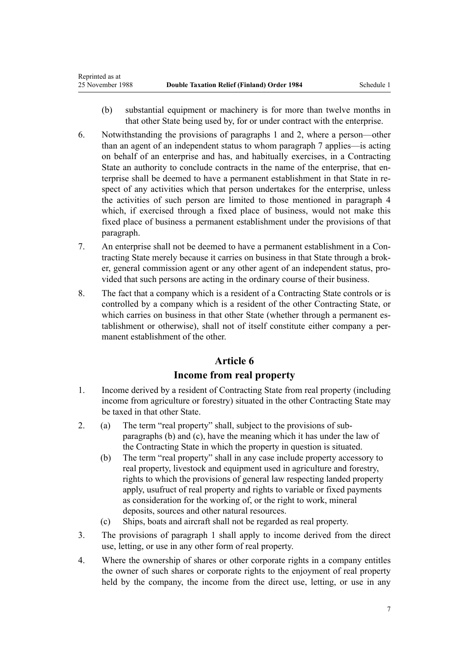- (b) substantial equipment or machinery is for more than twelve months in that other State being used by, for or under contract with the enterprise.
- 6. Notwithstanding the provisions of paragraphs 1 and 2, where a person—other than an agent of an independent status to whom paragraph 7 applies—is acting on behalf of an enterprise and has, and habitually exercises, in a Contracting State an authority to conclude contracts in the name of the enterprise, that enterprise shall be deemed to have a permanent establishment in that State in respect of any activities which that person undertakes for the enterprise, unless the activities of such person are limited to those mentioned in paragraph 4 which, if exercised through a fixed place of business, would not make this fixed place of business a permanent establishment under the provisions of that paragraph.
- 7. An enterprise shall not be deemed to have a permanent establishment in a Contracting State merely because it carries on business in that State through a broker, general commission agent or any other agent of an independent status, provided that such persons are acting in the ordinary course of their business.
- 8. The fact that a company which is a resident of a Contracting State controls or is controlled by a company which is a resident of the other Contracting State, or which carries on business in that other State (whether through a permanent establishment or otherwise), shall not of itself constitute either company a permanent establishment of the other.

# **Article 6 Income from real property**

- 1. Income derived by a resident of Contracting State from real property (including income from agriculture or forestry) situated in the other Contracting State may be taxed in that other State.
- 2. (a) The term "real property" shall, subject to the provisions of subparagraphs (b) and (c), have the meaning which it has under the law of the Contracting State in which the property in question is situated.
	- (b) The term "real property" shall in any case include property accessory to real property, livestock and equipment used in agriculture and forestry, rights to which the provisions of general law respecting landed property apply, usufruct of real property and rights to variable or fixed payments as consideration for the working of, or the right to work, mineral deposits, sources and other natural resources.
	- (c) Ships, boats and aircraft shall not be regarded as real property.
- 3. The provisions of paragraph 1 shall apply to income derived from the direct use, letting, or use in any other form of real property.
- 4. Where the ownership of shares or other corporate rights in a company entitles the owner of such shares or corporate rights to the enjoyment of real property held by the company, the income from the direct use, letting, or use in any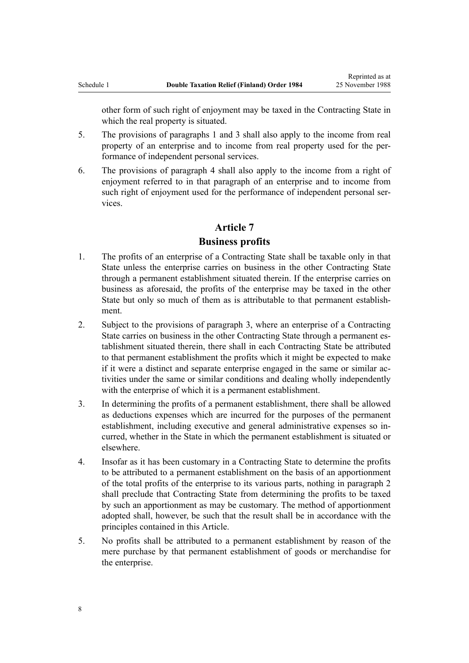other form of such right of enjoyment may be taxed in the Contracting State in which the real property is situated.

- 5. The provisions of paragraphs 1 and 3 shall also apply to the income from real property of an enterprise and to income from real property used for the performance of independent personal services.
- 6. The provisions of paragraph 4 shall also apply to the income from a right of enjoyment referred to in that paragraph of an enterprise and to income from such right of enjoyment used for the performance of independent personal services.

### **Article 7**

#### **Business profits**

- 1. The profits of an enterprise of a Contracting State shall be taxable only in that State unless the enterprise carries on business in the other Contracting State through a permanent establishment situated therein. If the enterprise carries on business as aforesaid, the profits of the enterprise may be taxed in the other State but only so much of them as is attributable to that permanent establishment.
- 2. Subject to the provisions of paragraph 3, where an enterprise of a Contracting State carries on business in the other Contracting State through a permanent establishment situated therein, there shall in each Contracting State be attributed to that permanent establishment the profits which it might be expected to make if it were a distinct and separate enterprise engaged in the same or similar activities under the same or similar conditions and dealing wholly independently with the enterprise of which it is a permanent establishment.
- 3. In determining the profits of a permanent establishment, there shall be allowed as deductions expenses which are incurred for the purposes of the permanent establishment, including executive and general administrative expenses so incurred, whether in the State in which the permanent establishment is situated or elsewhere.
- 4. Insofar as it has been customary in a Contracting State to determine the profits to be attributed to a permanent establishment on the basis of an apportionment of the total profits of the enterprise to its various parts, nothing in paragraph 2 shall preclude that Contracting State from determining the profits to be taxed by such an apportionment as may be customary. The method of apportionment adopted shall, however, be such that the result shall be in accordance with the principles contained in this Article.
- 5. No profits shall be attributed to a permanent establishment by reason of the mere purchase by that permanent establishment of goods or merchandise for the enterprise.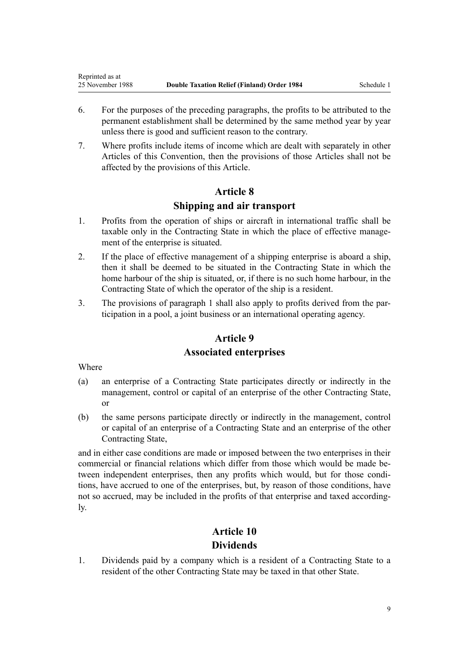- 6. For the purposes of the preceding paragraphs, the profits to be attributed to the permanent establishment shall be determined by the same method year by year unless there is good and sufficient reason to the contrary.
- 7. Where profits include items of income which are dealt with separately in other Articles of this Convention, then the provisions of those Articles shall not be affected by the provisions of this Article.

# **Article 8 Shipping and air transport**

- 1. Profits from the operation of ships or aircraft in international traffic shall be taxable only in the Contracting State in which the place of effective management of the enterprise is situated.
- 2. If the place of effective management of a shipping enterprise is aboard a ship, then it shall be deemed to be situated in the Contracting State in which the home harbour of the ship is situated, or, if there is no such home harbour, in the Contracting State of which the operator of the ship is a resident.
- 3. The provisions of paragraph 1 shall also apply to profits derived from the participation in a pool, a joint business or an international operating agency.

# **Article 9**

# **Associated enterprises**

Where

- (a) an enterprise of a Contracting State participates directly or indirectly in the management, control or capital of an enterprise of the other Contracting State, or
- (b) the same persons participate directly or indirectly in the management, control or capital of an enterprise of a Contracting State and an enterprise of the other Contracting State,

and in either case conditions are made or imposed between the two enterprises in their commercial or financial relations which differ from those which would be made between independent enterprises, then any profits which would, but for those conditions, have accrued to one of the enterprises, but, by reason of those conditions, have not so accrued, may be included in the profits of that enterprise and taxed accordingly.

# **Article 10 Dividends**

1. Dividends paid by a company which is a resident of a Contracting State to a resident of the other Contracting State may be taxed in that other State.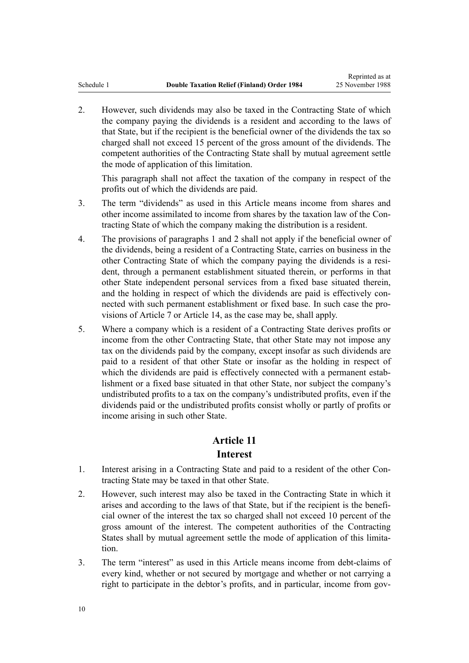2. However, such dividends may also be taxed in the Contracting State of which the company paying the dividends is a resident and according to the laws of that State, but if the recipient is the beneficial owner of the dividends the tax so charged shall not exceed 15 percent of the gross amount of the dividends. The competent authorities of the Contracting State shall by mutual agreement settle the mode of application of this limitation.

This paragraph shall not affect the taxation of the company in respect of the profits out of which the dividends are paid.

- 3. The term "dividends" as used in this Article means income from shares and other income assimilated to income from shares by the taxation law of the Contracting State of which the company making the distribution is a resident.
- 4. The provisions of paragraphs 1 and 2 shall not apply if the beneficial owner of the dividends, being a resident of a Contracting State, carries on business in the other Contracting State of which the company paying the dividends is a resident, through a permanent establishment situated therein, or performs in that other State independent personal services from a fixed base situated therein, and the holding in respect of which the dividends are paid is effectively connected with such permanent establishment or fixed base. In such case the provisions of Article 7 or Article 14, as the case may be, shall apply.
- 5. Where a company which is a resident of a Contracting State derives profits or income from the other Contracting State, that other State may not impose any tax on the dividends paid by the company, except insofar as such dividends are paid to a resident of that other State or insofar as the holding in respect of which the dividends are paid is effectively connected with a permanent establishment or a fixed base situated in that other State, nor subject the company's undistributed profits to a tax on the company's undistributed profits, even if the dividends paid or the undistributed profits consist wholly or partly of profits or income arising in such other State.

# **Article 11**

## **Interest**

- 1. Interest arising in a Contracting State and paid to a resident of the other Contracting State may be taxed in that other State.
- 2. However, such interest may also be taxed in the Contracting State in which it arises and according to the laws of that State, but if the recipient is the beneficial owner of the interest the tax so charged shall not exceed 10 percent of the gross amount of the interest. The competent authorities of the Contracting States shall by mutual agreement settle the mode of application of this limitation.
- 3. The term "interest" as used in this Article means income from debt-claims of every kind, whether or not secured by mortgage and whether or not carrying a right to participate in the debtor's profits, and in particular, income from gov-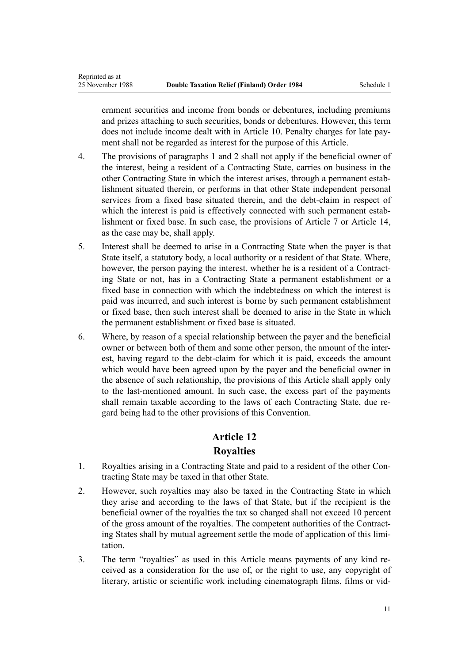Reprinted as at

ernment securities and income from bonds or debentures, including premiums and prizes attaching to such securities, bonds or debentures. However, this term does not include income dealt with in Article 10. Penalty charges for late payment shall not be regarded as interest for the purpose of this Article.

- 4. The provisions of paragraphs 1 and 2 shall not apply if the beneficial owner of the interest, being a resident of a Contracting State, carries on business in the other Contracting State in which the interest arises, through a permanent establishment situated therein, or performs in that other State independent personal services from a fixed base situated therein, and the debt-claim in respect of which the interest is paid is effectively connected with such permanent establishment or fixed base. In such case, the provisions of Article 7 or Article 14, as the case may be, shall apply.
- 5. Interest shall be deemed to arise in a Contracting State when the payer is that State itself, a statutory body, a local authority or a resident of that State. Where, however, the person paying the interest, whether he is a resident of a Contracting State or not, has in a Contracting State a permanent establishment or a fixed base in connection with which the indebtedness on which the interest is paid was incurred, and such interest is borne by such permanent establishment or fixed base, then such interest shall be deemed to arise in the State in which the permanent establishment or fixed base is situated.
- 6. Where, by reason of a special relationship between the payer and the beneficial owner or between both of them and some other person, the amount of the interest, having regard to the debt-claim for which it is paid, exceeds the amount which would have been agreed upon by the payer and the beneficial owner in the absence of such relationship, the provisions of this Article shall apply only to the last-mentioned amount. In such case, the excess part of the payments shall remain taxable according to the laws of each Contracting State, due regard being had to the other provisions of this Convention.

## **Article 12**

## **Royalties**

- 1. Royalties arising in a Contracting State and paid to a resident of the other Contracting State may be taxed in that other State.
- 2. However, such royalties may also be taxed in the Contracting State in which they arise and according to the laws of that State, but if the recipient is the beneficial owner of the royalties the tax so charged shall not exceed 10 percent of the gross amount of the royalties. The competent authorities of the Contracting States shall by mutual agreement settle the mode of application of this limitation.
- 3. The term "royalties" as used in this Article means payments of any kind received as a consideration for the use of, or the right to use, any copyright of literary, artistic or scientific work including cinematograph films, films or vid-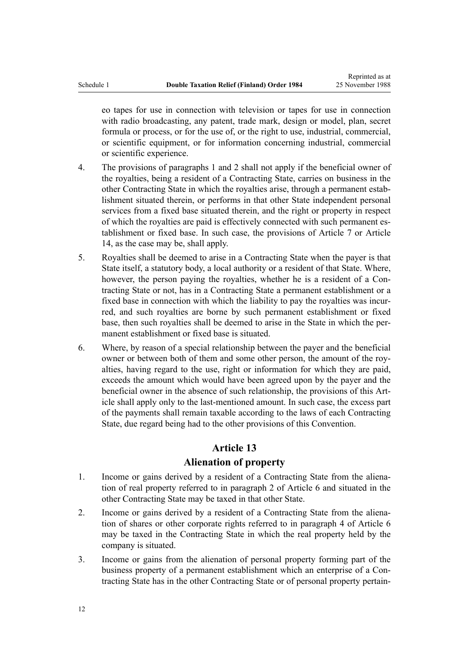eo tapes for use in connection with television or tapes for use in connection with radio broadcasting, any patent, trade mark, design or model, plan, secret formula or process, or for the use of, or the right to use, industrial, commercial, or scientific equipment, or for information concerning industrial, commercial or scientific experience.

- 4. The provisions of paragraphs 1 and 2 shall not apply if the beneficial owner of the royalties, being a resident of a Contracting State, carries on business in the other Contracting State in which the royalties arise, through a permanent establishment situated therein, or performs in that other State independent personal services from a fixed base situated therein, and the right or property in respect of which the royalties are paid is effectively connected with such permanent establishment or fixed base. In such case, the provisions of Article 7 or Article 14, as the case may be, shall apply.
- 5. Royalties shall be deemed to arise in a Contracting State when the payer is that State itself, a statutory body, a local authority or a resident of that State. Where, however, the person paying the royalties, whether he is a resident of a Contracting State or not, has in a Contracting State a permanent establishment or a fixed base in connection with which the liability to pay the royalties was incurred, and such royalties are borne by such permanent establishment or fixed base, then such royalties shall be deemed to arise in the State in which the permanent establishment or fixed base is situated.
- 6. Where, by reason of a special relationship between the payer and the beneficial owner or between both of them and some other person, the amount of the royalties, having regard to the use, right or information for which they are paid, exceeds the amount which would have been agreed upon by the payer and the beneficial owner in the absence of such relationship, the provisions of this Article shall apply only to the last-mentioned amount. In such case, the excess part of the payments shall remain taxable according to the laws of each Contracting State, due regard being had to the other provisions of this Convention.

## **Article 13**

### **Alienation of property**

- 1. Income or gains derived by a resident of a Contracting State from the alienation of real property referred to in paragraph 2 of Article 6 and situated in the other Contracting State may be taxed in that other State.
- 2. Income or gains derived by a resident of a Contracting State from the alienation of shares or other corporate rights referred to in paragraph 4 of Article 6 may be taxed in the Contracting State in which the real property held by the company is situated.
- 3. Income or gains from the alienation of personal property forming part of the business property of a permanent establishment which an enterprise of a Contracting State has in the other Contracting State or of personal property pertain-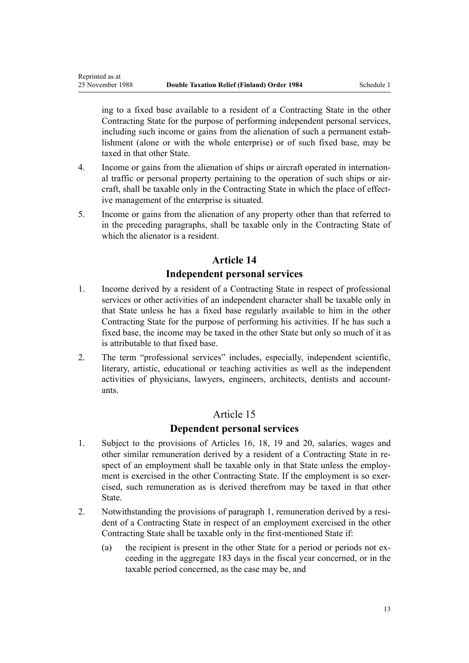Reprinted as at

ing to a fixed base available to a resident of a Contracting State in the other Contracting State for the purpose of performing independent personal services, including such income or gains from the alienation of such a permanent establishment (alone or with the whole enterprise) or of such fixed base, may be taxed in that other State.

- 4. Income or gains from the alienation of ships or aircraft operated in international traffic or personal property pertaining to the operation of such ships or aircraft, shall be taxable only in the Contracting State in which the place of effective management of the enterprise is situated.
- 5. Income or gains from the alienation of any property other than that referred to in the preceding paragraphs, shall be taxable only in the Contracting State of which the alienator is a resident.

# **Article 14 Independent personal services**

- 1. Income derived by a resident of a Contracting State in respect of professional services or other activities of an independent character shall be taxable only in that State unless he has a fixed base regularly available to him in the other Contracting State for the purpose of performing his activities. If he has such a fixed base, the income may be taxed in the other State but only so much of it as is attributable to that fixed base.
- 2. The term "professional services" includes, especially, independent scientific, literary, artistic, educational or teaching activities as well as the independent activities of physicians, lawyers, engineers, architects, dentists and accountants.

### Article 15

## **Dependent personal services**

- 1. Subject to the provisions of Articles 16, 18, 19 and 20, salaries, wages and other similar remuneration derived by a resident of a Contracting State in respect of an employment shall be taxable only in that State unless the employment is exercised in the other Contracting State. If the employment is so exercised, such remuneration as is derived therefrom may be taxed in that other **State**
- 2. Notwithstanding the provisions of paragraph 1, remuneration derived by a resident of a Contracting State in respect of an employment exercised in the other Contracting State shall be taxable only in the first-mentioned State if:
	- (a) the recipient is present in the other State for a period or periods not exceeding in the aggregate 183 days in the fiscal year concerned, or in the taxable period concerned, as the case may be, and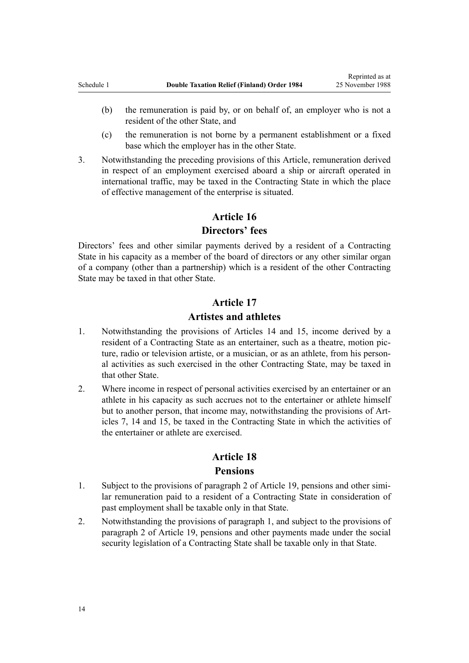- (b) the remuneration is paid by, or on behalf of, an employer who is not a resident of the other State, and
- (c) the remuneration is not borne by a permanent establishment or a fixed base which the employer has in the other State.
- 3. Notwithstanding the preceding provisions of this Article, remuneration derived in respect of an employment exercised aboard a ship or aircraft operated in international traffic, may be taxed in the Contracting State in which the place of effective management of the enterprise is situated.

## **Directors' fees**

Directors' fees and other similar payments derived by a resident of a Contracting State in his capacity as a member of the board of directors or any other similar organ of a company (other than a partnership) which is a resident of the other Contracting State may be taxed in that other State.

# **Article 17 Artistes and athletes**

- 1. Notwithstanding the provisions of Articles 14 and 15, income derived by a resident of a Contracting State as an entertainer, such as a theatre, motion picture, radio or television artiste, or a musician, or as an athlete, from his personal activities as such exercised in the other Contracting State, may be taxed in that other State.
- 2. Where income in respect of personal activities exercised by an entertainer or an athlete in his capacity as such accrues not to the entertainer or athlete himself but to another person, that income may, notwithstanding the provisions of Articles 7, 14 and 15, be taxed in the Contracting State in which the activities of the entertainer or athlete are exercised.

# **Article 18 Pensions**

- 1. Subject to the provisions of paragraph 2 of Article 19, pensions and other similar remuneration paid to a resident of a Contracting State in consideration of past employment shall be taxable only in that State.
- 2. Notwithstanding the provisions of paragraph 1, and subject to the provisions of paragraph 2 of Article 19, pensions and other payments made under the social security legislation of a Contracting State shall be taxable only in that State.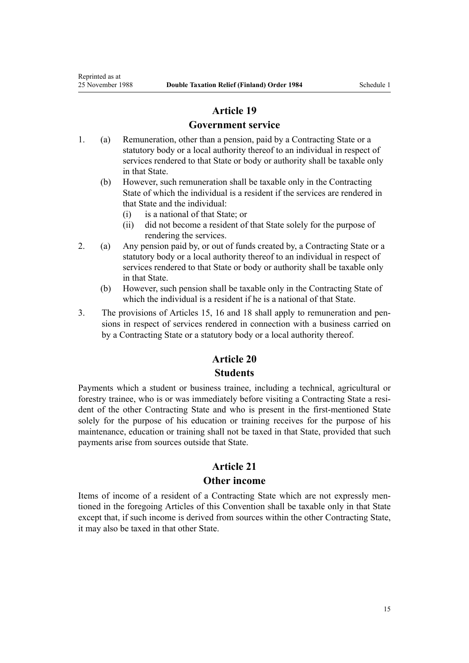## **Government service**

- 1. (a) Remuneration, other than a pension, paid by a Contracting State or a statutory body or a local authority thereof to an individual in respect of services rendered to that State or body or authority shall be taxable only in that State.
	- (b) However, such remuneration shall be taxable only in the Contracting State of which the individual is a resident if the services are rendered in that State and the individual:
		- (i) is a national of that State; or
		- (ii) did not become a resident of that State solely for the purpose of rendering the services.
- 2. (a) Any pension paid by, or out of funds created by, a Contracting State or a statutory body or a local authority thereof to an individual in respect of services rendered to that State or body or authority shall be taxable only in that State.
	- (b) However, such pension shall be taxable only in the Contracting State of which the individual is a resident if he is a national of that State.
- 3. The provisions of Articles 15, 16 and 18 shall apply to remuneration and pensions in respect of services rendered in connection with a business carried on by a Contracting State or a statutory body or a local authority thereof.

# **Article 20**

### **Students**

Payments which a student or business trainee, including a technical, agricultural or forestry trainee, who is or was immediately before visiting a Contracting State a resident of the other Contracting State and who is present in the first-mentioned State solely for the purpose of his education or training receives for the purpose of his maintenance, education or training shall not be taxed in that State, provided that such payments arise from sources outside that State.

# **Article 21**

## **Other income**

Items of income of a resident of a Contracting State which are not expressly mentioned in the foregoing Articles of this Convention shall be taxable only in that State except that, if such income is derived from sources within the other Contracting State, it may also be taxed in that other State.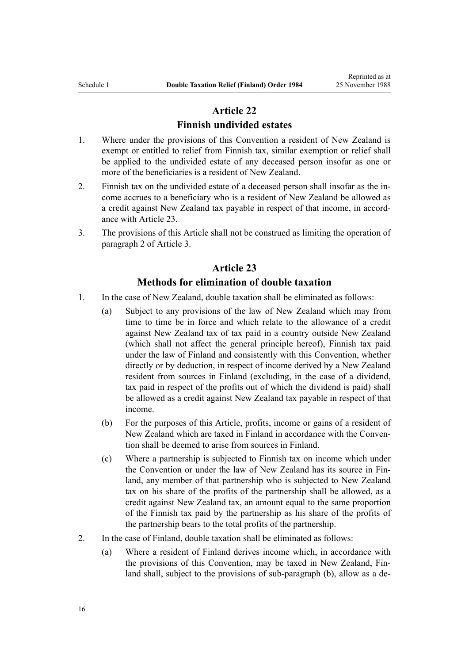### **Finnish undivided estates**

- 1. Where under the provisions of this Convention a resident of New Zealand is exempt or entitled to relief from Finnish tax, similar exemption or relief shall be applied to the undivided estate of any deceased person insofar as one or more of the beneficiaries is a resident of New Zealand.
- 2. Finnish tax on the undivided estate of a deceased person shall insofar as the income accrues to a beneficiary who is a resident of New Zealand be allowed as a credit against New Zealand tax payable in respect of that income, in accordance with Article 23.
- 3. The provisions of this Article shall not be construed as limiting the operation of paragraph 2 of Article 3.

## **Article 23**

#### **Methods for elimination of double taxation**

- 1. In the case of New Zealand, double taxation shall be eliminated as follows:
	- (a) Subject to any provisions of the law of New Zealand which may from time to time be in force and which relate to the allowance of a credit against New Zealand tax of tax paid in a country outside New Zealand (which shall not affect the general principle hereof), Finnish tax paid under the law of Finland and consistently with this Convention, whether directly or by deduction, in respect of income derived by a New Zealand resident from sources in Finland (excluding, in the case of a dividend, tax paid in respect of the profits out of which the dividend is paid) shall be allowed as a credit against New Zealand tax payable in respect of that income.
	- (b) For the purposes of this Article, profits, income or gains of a resident of New Zealand which are taxed in Finland in accordance with the Convention shall be deemed to arise from sources in Finland.
	- (c) Where a partnership is subjected to Finnish tax on income which under the Convention or under the law of New Zealand has its source in Finland, any member of that partnership who is subjected to New Zealand tax on his share of the profits of the partnership shall be allowed, as a credit against New Zealand tax, an amount equal to the same proportion of the Finnish tax paid by the partnership as his share of the profits of the partnership bears to the total profits of the partnership.
- 2. In the case of Finland, double taxation shall be eliminated as follows:
	- (a) Where a resident of Finland derives income which, in accordance with the provisions of this Convention, may be taxed in New Zealand, Finland shall, subject to the provisions of sub-paragraph (b), allow as a de-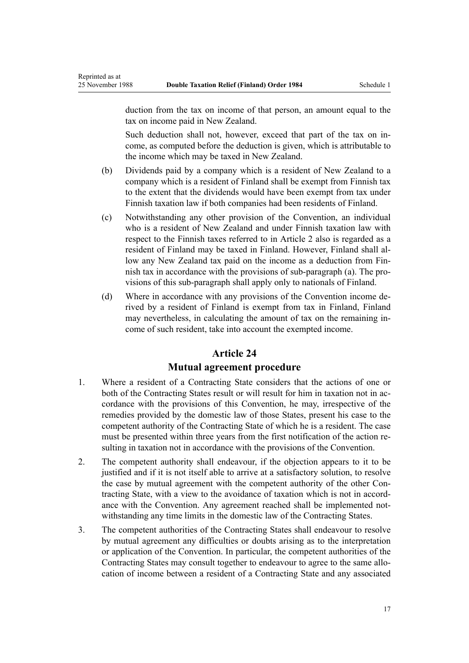Reprinted as at

Such deduction shall not, however, exceed that part of the tax on income, as computed before the deduction is given, which is attributable to the income which may be taxed in New Zealand.

- (b) Dividends paid by a company which is a resident of New Zealand to a company which is a resident of Finland shall be exempt from Finnish tax to the extent that the dividends would have been exempt from tax under Finnish taxation law if both companies had been residents of Finland.
- (c) Notwithstanding any other provision of the Convention, an individual who is a resident of New Zealand and under Finnish taxation law with respect to the Finnish taxes referred to in Article 2 also is regarded as a resident of Finland may be taxed in Finland. However, Finland shall allow any New Zealand tax paid on the income as a deduction from Finnish tax in accordance with the provisions of sub-paragraph (a). The provisions of this sub-paragraph shall apply only to nationals of Finland.
- (d) Where in accordance with any provisions of the Convention income derived by a resident of Finland is exempt from tax in Finland, Finland may nevertheless, in calculating the amount of tax on the remaining income of such resident, take into account the exempted income.

### **Article 24**

#### **Mutual agreement procedure**

- 1. Where a resident of a Contracting State considers that the actions of one or both of the Contracting States result or will result for him in taxation not in accordance with the provisions of this Convention, he may, irrespective of the remedies provided by the domestic law of those States, present his case to the competent authority of the Contracting State of which he is a resident. The case must be presented within three years from the first notification of the action resulting in taxation not in accordance with the provisions of the Convention.
- 2. The competent authority shall endeavour, if the objection appears to it to be justified and if it is not itself able to arrive at a satisfactory solution, to resolve the case by mutual agreement with the competent authority of the other Contracting State, with a view to the avoidance of taxation which is not in accordance with the Convention. Any agreement reached shall be implemented notwithstanding any time limits in the domestic law of the Contracting States.
- 3. The competent authorities of the Contracting States shall endeavour to resolve by mutual agreement any difficulties or doubts arising as to the interpretation or application of the Convention. In particular, the competent authorities of the Contracting States may consult together to endeavour to agree to the same allocation of income between a resident of a Contracting State and any associated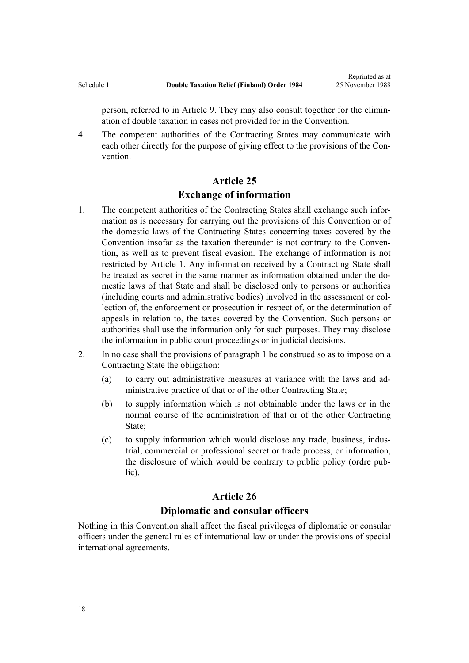person, referred to in Article 9. They may also consult together for the elimination of double taxation in cases not provided for in the Convention.

4. The competent authorities of the Contracting States may communicate with each other directly for the purpose of giving effect to the provisions of the Convention.

### **Article 25**

#### **Exchange of information**

- 1. The competent authorities of the Contracting States shall exchange such information as is necessary for carrying out the provisions of this Convention or of the domestic laws of the Contracting States concerning taxes covered by the Convention insofar as the taxation thereunder is not contrary to the Convention, as well as to prevent fiscal evasion. The exchange of information is not restricted by Article 1. Any information received by a Contracting State shall be treated as secret in the same manner as information obtained under the domestic laws of that State and shall be disclosed only to persons or authorities (including courts and administrative bodies) involved in the assessment or collection of, the enforcement or prosecution in respect of, or the determination of appeals in relation to, the taxes covered by the Convention. Such persons or authorities shall use the information only for such purposes. They may disclose the information in public court proceedings or in judicial decisions.
- 2. In no case shall the provisions of paragraph 1 be construed so as to impose on a Contracting State the obligation:
	- (a) to carry out administrative measures at variance with the laws and administrative practice of that or of the other Contracting State;
	- (b) to supply information which is not obtainable under the laws or in the normal course of the administration of that or of the other Contracting State;
	- (c) to supply information which would disclose any trade, business, industrial, commercial or professional secret or trade process, or information, the disclosure of which would be contrary to public policy (ordre public).

## **Article 26**

#### **Diplomatic and consular officers**

Nothing in this Convention shall affect the fiscal privileges of diplomatic or consular officers under the general rules of international law or under the provisions of special international agreements.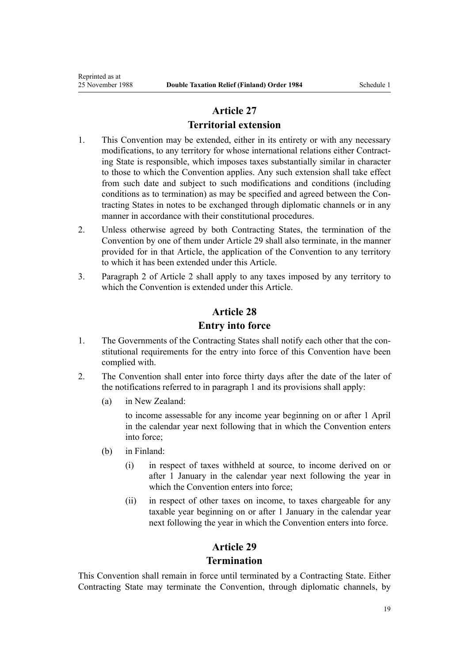### **Territorial extension**

- 1. This Convention may be extended, either in its entirety or with any necessary modifications, to any territory for whose international relations either Contracting State is responsible, which imposes taxes substantially similar in character to those to which the Convention applies. Any such extension shall take effect from such date and subject to such modifications and conditions (including conditions as to termination) as may be specified and agreed between the Contracting States in notes to be exchanged through diplomatic channels or in any manner in accordance with their constitutional procedures.
- 2. Unless otherwise agreed by both Contracting States, the termination of the Convention by one of them under Article 29 shall also terminate, in the manner provided for in that Article, the application of the Convention to any territory to which it has been extended under this Article.
- 3. Paragraph 2 of Article 2 shall apply to any taxes imposed by any territory to which the Convention is extended under this Article.

## **Article 28**

## **Entry into force**

- 1. The Governments of the Contracting States shall notify each other that the constitutional requirements for the entry into force of this Convention have been complied with.
- 2. The Convention shall enter into force thirty days after the date of the later of the notifications referred to in paragraph 1 and its provisions shall apply:
	- (a) in New Zealand:

to income assessable for any income year beginning on or after 1 April in the calendar year next following that in which the Convention enters into force;

- (b) in Finland:
	- (i) in respect of taxes withheld at source, to income derived on or after 1 January in the calendar year next following the year in which the Convention enters into force;
	- (ii) in respect of other taxes on income, to taxes chargeable for any taxable year beginning on or after 1 January in the calendar year next following the year in which the Convention enters into force.

# **Article 29**

## **Termination**

This Convention shall remain in force until terminated by a Contracting State. Either Contracting State may terminate the Convention, through diplomatic channels, by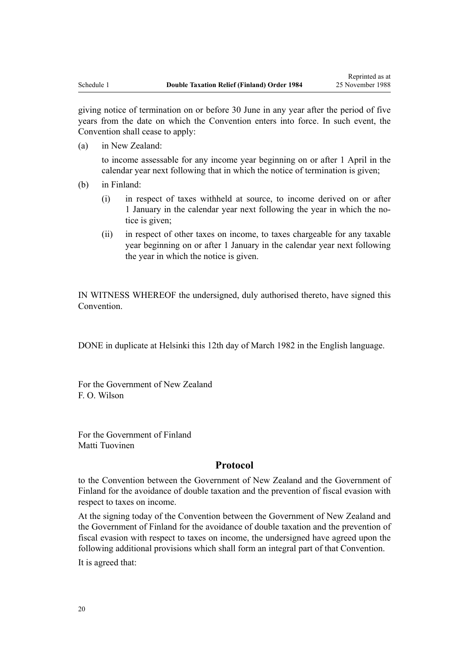giving notice of termination on or before 30 June in any year after the period of five years from the date on which the Convention enters into force. In such event, the Convention shall cease to apply:

(a) in New Zealand:

to income assessable for any income year beginning on or after 1 April in the calendar year next following that in which the notice of termination is given;

- (b) in Finland:
	- (i) in respect of taxes withheld at source, to income derived on or after 1 January in the calendar year next following the year in which the notice is given;
	- (ii) in respect of other taxes on income, to taxes chargeable for any taxable year beginning on or after 1 January in the calendar year next following the year in which the notice is given.

IN WITNESS WHEREOF the undersigned, duly authorised thereto, have signed this Convention.

DONE in duplicate at Helsinki this 12th day of March 1982 in the English language.

For the Government of New Zealand F. O. Wilson

For the Government of Finland Matti Tuovinen

## **Protocol**

to the Convention between the Government of New Zealand and the Government of Finland for the avoidance of double taxation and the prevention of fiscal evasion with respect to taxes on income.

At the signing today of the Convention between the Government of New Zealand and the Government of Finland for the avoidance of double taxation and the prevention of fiscal evasion with respect to taxes on income, the undersigned have agreed upon the following additional provisions which shall form an integral part of that Convention.

It is agreed that: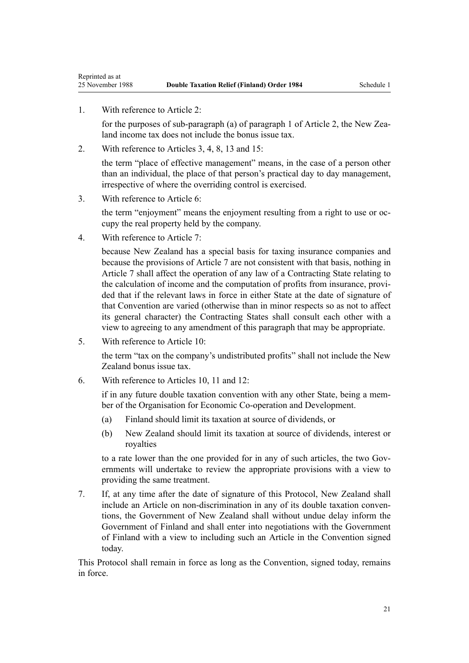1. With reference to Article 2:

for the purposes of sub-paragraph (a) of paragraph 1 of Article 2, the New Zealand income tax does not include the bonus issue tax.

2. With reference to Articles 3, 4, 8, 13 and 15:

the term "place of effective management" means, in the case of a person other than an individual, the place of that person's practical day to day management, irrespective of where the overriding control is exercised.

3. With reference to Article 6:

the term "enjoyment" means the enjoyment resulting from a right to use or occupy the real property held by the company.

4. With reference to Article 7:

because New Zealand has a special basis for taxing insurance companies and because the provisions of Article 7 are not consistent with that basis, nothing in Article 7 shall affect the operation of any law of a Contracting State relating to the calculation of income and the computation of profits from insurance, provided that if the relevant laws in force in either State at the date of signature of that Convention are varied (otherwise than in minor respects so as not to affect its general character) the Contracting States shall consult each other with a view to agreeing to any amendment of this paragraph that may be appropriate.

5. With reference to Article 10:

the term "tax on the company's undistributed profits" shall not include the New Zealand bonus issue tax.

6. With reference to Articles 10, 11 and 12:

if in any future double taxation convention with any other State, being a member of the Organisation for Economic Co-operation and Development.

- (a) Finland should limit its taxation at source of dividends, or
- (b) New Zealand should limit its taxation at source of dividends, interest or royalties

to a rate lower than the one provided for in any of such articles, the two Governments will undertake to review the appropriate provisions with a view to providing the same treatment.

7. If, at any time after the date of signature of this Protocol, New Zealand shall include an Article on non-discrimination in any of its double taxation conventions, the Government of New Zealand shall without undue delay inform the Government of Finland and shall enter into negotiations with the Government of Finland with a view to including such an Article in the Convention signed today.

This Protocol shall remain in force as long as the Convention, signed today, remains in force.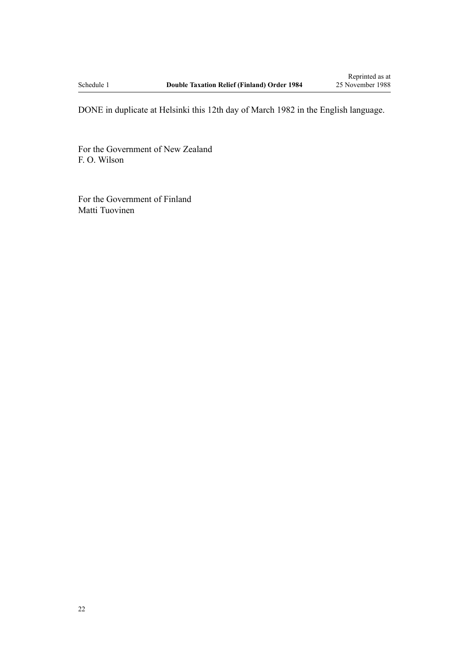DONE in duplicate at Helsinki this 12th day of March 1982 in the English language.

For the Government of New Zealand F. O. Wilson

For the Government of Finland Matti Tuovinen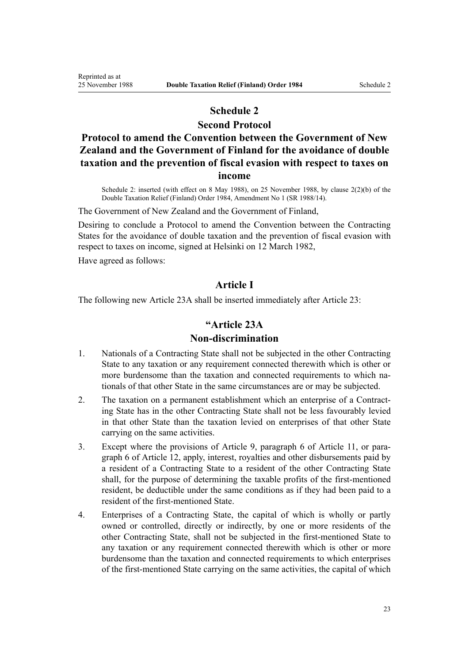### **Schedule 2**

#### **Second Protocol**

# **Protocol to amend the Convention between the Government of New Zealand and the Government of Finland for the avoidance of double taxation and the prevention of fiscal evasion with respect to taxes on income**

Schedule 2: inserted (with effect on 8 May 1988), on 25 November 1988, by clause 2(2)(b) of the Double Taxation Relief (Finland) Order 1984, Amendment No 1 (SR 1988/14).

The Government of New Zealand and the Government of Finland,

Desiring to conclude a Protocol to amend the Convention between the Contracting States for the avoidance of double taxation and the prevention of fiscal evasion with respect to taxes on income, signed at Helsinki on 12 March 1982,

Have agreed as follows:

<span id="page-22-0"></span>Reprinted as at

### **Article I**

The following new Article 23A shall be inserted immediately after Article 23:

## **"Article 23A Non-discrimination**

- 1. Nationals of a Contracting State shall not be subjected in the other Contracting State to any taxation or any requirement connected therewith which is other or more burdensome than the taxation and connected requirements to which nationals of that other State in the same circumstances are or may be subjected.
- 2. The taxation on a permanent establishment which an enterprise of a Contracting State has in the other Contracting State shall not be less favourably levied in that other State than the taxation levied on enterprises of that other State carrying on the same activities.
- 3. Except where the provisions of Article 9, paragraph 6 of Article 11, or paragraph 6 of Article 12, apply, interest, royalties and other disbursements paid by a resident of a Contracting State to a resident of the other Contracting State shall, for the purpose of determining the taxable profits of the first-mentioned resident, be deductible under the same conditions as if they had been paid to a resident of the first-mentioned State.
- 4. Enterprises of a Contracting State, the capital of which is wholly or partly owned or controlled, directly or indirectly, by one or more residents of the other Contracting State, shall not be subjected in the first-mentioned State to any taxation or any requirement connected therewith which is other or more burdensome than the taxation and connected requirements to which enterprises of the first-mentioned State carrying on the same activities, the capital of which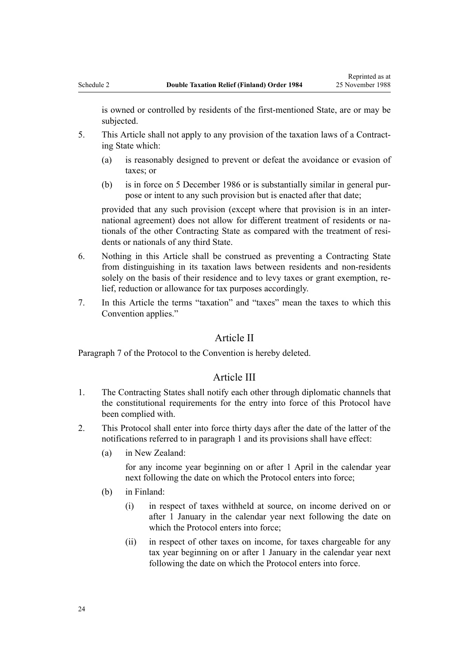is owned or controlled by residents of the first-mentioned State, are or may be subjected.

- 5. This Article shall not apply to any provision of the taxation laws of a Contracting State which:
	- (a) is reasonably designed to prevent or defeat the avoidance or evasion of taxes; or
	- (b) is in force on 5 December 1986 or is substantially similar in general purpose or intent to any such provision but is enacted after that date;

provided that any such provision (except where that provision is in an international agreement) does not allow for different treatment of residents or nationals of the other Contracting State as compared with the treatment of residents or nationals of any third State.

- 6. Nothing in this Article shall be construed as preventing a Contracting State from distinguishing in its taxation laws between residents and non-residents solely on the basis of their residence and to levy taxes or grant exemption, relief, reduction or allowance for tax purposes accordingly.
- 7. In this Article the terms "taxation" and "taxes" mean the taxes to which this Convention applies."

### Article II

Paragraph 7 of the Protocol to the Convention is hereby deleted.

## Article III

- 1. The Contracting States shall notify each other through diplomatic channels that the constitutional requirements for the entry into force of this Protocol have been complied with.
- 2. This Protocol shall enter into force thirty days after the date of the latter of the notifications referred to in paragraph 1 and its provisions shall have effect:
	- (a) in New Zealand:

for any income year beginning on or after 1 April in the calendar year next following the date on which the Protocol enters into force;

- (b) in Finland:
	- (i) in respect of taxes withheld at source, on income derived on or after 1 January in the calendar year next following the date on which the Protocol enters into force;
	- (ii) in respect of other taxes on income, for taxes chargeable for any tax year beginning on or after 1 January in the calendar year next following the date on which the Protocol enters into force.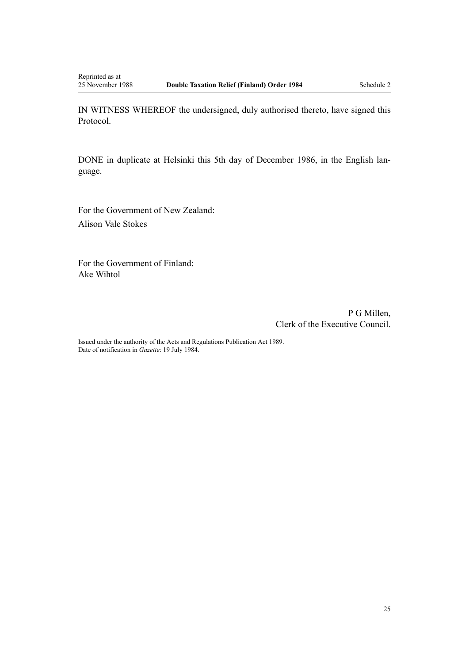IN WITNESS WHEREOF the undersigned, duly authorised thereto, have signed this Protocol.

DONE in duplicate at Helsinki this 5th day of December 1986, in the English language.

For the Government of New Zealand: Alison Vale Stokes

For the Government of Finland: Ake Wihtol

> P G Millen, Clerk of the Executive Council.

Issued under the authority of the [Acts and Regulations Publication Act 1989.](http://prd-lgnz-nlb.prd.pco.net.nz/pdflink.aspx?id=DLM195097) Date of notification in *Gazette*: 19 July 1984.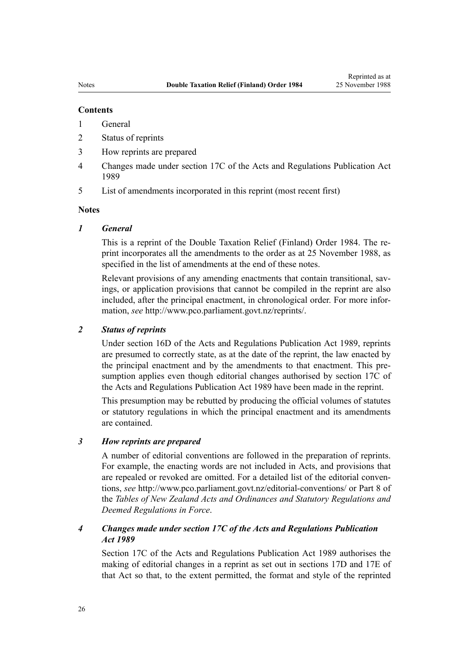#### **Contents**

#### 1 General

- 2 Status of reprints
- 3 How reprints are prepared
- 4 Changes made under section 17C of the Acts and Regulations Publication Act 1989
- 5 List of amendments incorporated in this reprint (most recent first)

#### **Notes**

#### *1 General*

This is a reprint of the Double Taxation Relief (Finland) Order 1984. The reprint incorporates all the amendments to the order as at 25 November 1988, as specified in the list of amendments at the end of these notes.

Relevant provisions of any amending enactments that contain transitional, savings, or application provisions that cannot be compiled in the reprint are also included, after the principal enactment, in chronological order. For more information, *see*<http://www.pco.parliament.govt.nz/reprints/>.

#### *2 Status of reprints*

Under [section 16D](http://prd-lgnz-nlb.prd.pco.net.nz/pdflink.aspx?id=DLM195439) of the Acts and Regulations Publication Act 1989, reprints are presumed to correctly state, as at the date of the reprint, the law enacted by the principal enactment and by the amendments to that enactment. This presumption applies even though editorial changes authorised by [section 17C](http://prd-lgnz-nlb.prd.pco.net.nz/pdflink.aspx?id=DLM195466) of the Acts and Regulations Publication Act 1989 have been made in the reprint.

This presumption may be rebutted by producing the official volumes of statutes or statutory regulations in which the principal enactment and its amendments are contained.

#### *3 How reprints are prepared*

A number of editorial conventions are followed in the preparation of reprints. For example, the enacting words are not included in Acts, and provisions that are repealed or revoked are omitted. For a detailed list of the editorial conventions, *see* <http://www.pco.parliament.govt.nz/editorial-conventions/>or Part 8 of the *Tables of New Zealand Acts and Ordinances and Statutory Regulations and Deemed Regulations in Force*.

#### *4 Changes made under section 17C of the Acts and Regulations Publication Act 1989*

[Section 17C](http://prd-lgnz-nlb.prd.pco.net.nz/pdflink.aspx?id=DLM195466) of the Acts and Regulations Publication Act 1989 authorises the making of editorial changes in a reprint as set out in [sections 17D](http://prd-lgnz-nlb.prd.pco.net.nz/pdflink.aspx?id=DLM195468) and [17E](http://prd-lgnz-nlb.prd.pco.net.nz/pdflink.aspx?id=DLM195470) of that Act so that, to the extent permitted, the format and style of the reprinted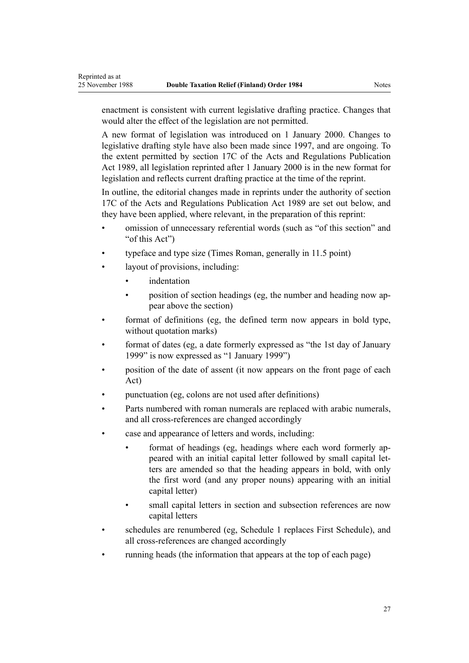enactment is consistent with current legislative drafting practice. Changes that would alter the effect of the legislation are not permitted.

A new format of legislation was introduced on 1 January 2000. Changes to legislative drafting style have also been made since 1997, and are ongoing. To the extent permitted by [section 17C](http://prd-lgnz-nlb.prd.pco.net.nz/pdflink.aspx?id=DLM195466) of the Acts and Regulations Publication Act 1989, all legislation reprinted after 1 January 2000 is in the new format for legislation and reflects current drafting practice at the time of the reprint.

In outline, the editorial changes made in reprints under the authority of [section](http://prd-lgnz-nlb.prd.pco.net.nz/pdflink.aspx?id=DLM195466) [17C](http://prd-lgnz-nlb.prd.pco.net.nz/pdflink.aspx?id=DLM195466) of the Acts and Regulations Publication Act 1989 are set out below, and they have been applied, where relevant, in the preparation of this reprint:

- omission of unnecessary referential words (such as "of this section" and "of this Act")
- typeface and type size (Times Roman, generally in 11.5 point)
- layout of provisions, including:
	- *indentation*
	- position of section headings (eg, the number and heading now appear above the section)
- format of definitions (eg, the defined term now appears in bold type, without quotation marks)
- format of dates (eg, a date formerly expressed as "the 1st day of January 1999" is now expressed as "1 January 1999")
- position of the date of assent (it now appears on the front page of each Act)
- punctuation (eg, colons are not used after definitions)
- Parts numbered with roman numerals are replaced with arabic numerals, and all cross-references are changed accordingly
- case and appearance of letters and words, including:
	- format of headings (eg, headings where each word formerly appeared with an initial capital letter followed by small capital letters are amended so that the heading appears in bold, with only the first word (and any proper nouns) appearing with an initial capital letter)
	- small capital letters in section and subsection references are now capital letters
- schedules are renumbered (eg, Schedule 1 replaces First Schedule), and all cross-references are changed accordingly
- running heads (the information that appears at the top of each page)